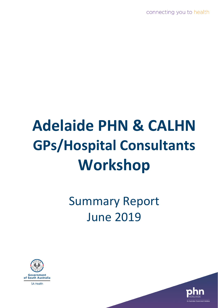connecting you to health

# **Adelaide PHN & CALHN GPs/Hospital Consultants Workshop**

# Summary Report June 2019



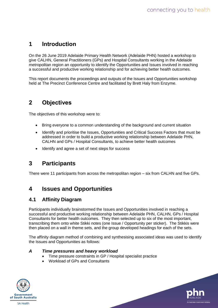# **1 Introduction**

On the 26 June 2019 Adelaide Primary Health Network (Adelaide PHN) hosted a workshop to give CALHN, General Practitioners (GPs) and Hospital Consultants working in the Adelaide metropolitan region an opportunity to identify the Opportunities and Issues involved in reaching a successful and productive working relationship and for achieving better health outcomes.

This report documents the proceedings and outputs of the Issues and Opportunities workshop held at The Precinct Conference Centre and facilitated by Brett Haly from Enzyme.

# **2 Objectives**

The objectives of this workshop were to:

- Bring everyone to a common understanding of the background and current situation
- Identify and prioritise the Issues, Opportunities and Critical Success Factors that must be addressed in order to build a productive working relationship between Adelaide PHN, CALHN and GPs / Hospital Consultants, to achieve better health outcomes
- Identify and agree a set of next steps for success

# **3 Participants**

There were 11 participants from across the metropolitan region – six from CALHN and five GPs.

# **4 Issues and Opportunities**

### **4.1 Affinity Diagram**

Participants individually brainstormed the Issues and Opportunities involved in reaching a successful and productive working relationship between Adelaide PHN, CALHN, GPs / Hospital Consultants for better health outcomes. They then selected up to six of the most important, transcribing them onto white Stikki notes (one Issue / Opportunity per sticker). The Stikkis were then placed on a wall in theme sets, and the group developed headings for each of the sets.

The affinity diagram method of combining and synthesising associated ideas was used to identify the Issues and Opportunities as follows:

#### *A Time pressures and heavy workload*

- Time pressure constraints in GP / Hospital specialist practice
- Workload of GPs and Consultants



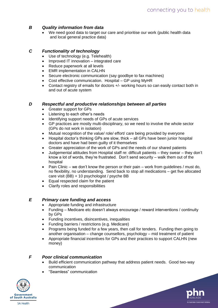#### *B Quality information from data*

We need good data to target our care and prioritise our work (public health data and local general practice data)

#### *C Functionality of technology*

- Use of technology (e.g. Telehealth)
- Improved IT innovation integrated care
- Reduce paperwork at all levels
- **EMR** implementation in CALHN
- Secure electronic communication (say goodbye to fax machines)
- Cost effective communication. Hospital GP using MyHR
- Contact registry of emails for doctors +/- working hours so can easily contact both in and out of acute system

#### *D Respectful and productive relationships between all parties*

- Greater support for GPs
- Listening to each other's needs
- Identifying support needs of GPs of acute services
- GP practices are mostly multi-disciplinary, so we need to involve the whole sector (GPs do not work in isolation)
- Mutual recognition of the value/ role/ effort/ care being provided by everyone
- Hospital doctor's thinking GPs are slow, thick all GPs have been junior hospital doctors and have had been guilty of it themselves
- Greater appreciation of the work of GPs and the needs of our shared patients
- Judgemental attitudes from Hospital staff re: difficult patients they swear they don't know a lot of words, they're frustrated. Don't send security – walk them out of the hospital
- Pain Clinic we don't know the person or their pain work from guidelines / must do, no flexibility, no understanding. Send back to stop all medications – get five allocated care visit (BB) + 10 psychologist / psyche BB
- Equal respected claim for the patient
- Clarify roles and responsibilities

#### *E Primary care funding and access*

- Appropriate funding and infrastructure
- Funding Medicare etc doesn't always encourage / reward interventions / continuity by GPs
- Funding incentives, disincentives, inequalities
- Funding barriers / restrictions (e.g. Medicare)
- Programs being funded for a few years, then call for tenders. Funding then going to another organisation – change counsellors, psychology – mid treatment of patient
- Appropriate financial incentives for GPs and their practices to support CALHN (new money)

#### *F Poor clinical communication*

- Build efficient communication pathway that address patient needs. Good two-way communication
- "Seamless" communication



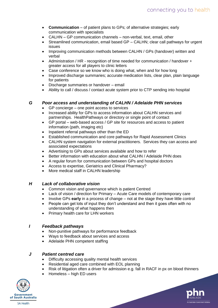- **Communication** of patient plans to GPs; of alternative strategies; early communication with specialists
- CALHN GP communication channels non-verbal, text, email, other
- Streamlined communication, email based GP CALHN; clear call pathways for urgent issues
- Improving communication methods between CALHN / GPs (handover) written and verbal
- Administration / HR recognition of time needed for communication / handover + greater access for all players to clinic letters
- Case conference so we know who is doing what, when and for how long
- Improved discharge summaries; accurate medication lists, clear plan, plain language for patients
- Discharge summaries or handover email
- Ability to call / discuss / contact acute system prior to CTP sending into hospital

#### *G Poor access and understanding of CALHN / Adelaide PHN services*

- GP concierge one point access to services
- Increased ability for GPs to access information about CALHN services and partnerships. HealthPathways or directory or single point of contact
- GP portal web-based access / GP site for resources and access to patient information (path, imaging etc)
- Inpatient referral pathways other than the ED
- Established communication and core pathways for Rapid Assessment Clinics
- CALHN system navigation for external practitioners. Services they can access and associated expectations
- Advertising to GPs about services available and how to refer
- Better information with education about what CALHN / Adelaide PHN does
- A regular forum for communication between GPs and hospital doctors
- Access to expertise, Geriatrics and Clinical Pharmacy?
- More medical staff in CALHN leadership

#### *H Lack of collaborative vision*

- Common vision and governance which is patient Centred
- Lack of vision / direction for Primary Acute Care models of contemporary care
- Involve GPs **early** in a process of change not at the stage they have little control
- People can get lots of input they don't understand and then it goes often with no understanding of what happens then
- Primary health care for LHN workers

#### *I Feedback pathways*

- Non-punitive pathways for performance feedback
- Ways to feedback about services and access
- Adelaide PHN competent staffing

#### *J Patient centred care*

- Difficulty accessing quality mental health services
- Residential aged care combined with EOL planning
- Risk of litigation often a driver for admission e.g. fall in RACF in px on blood thinners
- Homeless high ED users



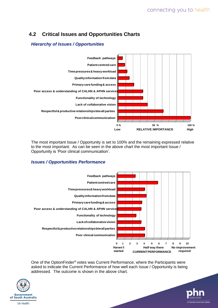## **4.2 Critical Issues and Opportunities Charts**

#### *Hierarchy of Issues / Opportunities*



The most important Issue / Opportunity is set to 100% and the remaining expressed relative to the most important. As can be seen in the above chart the most important Issue / Opportunity is 'Poor clinical communication'.

#### *Issues / Opportunities Performance*



One of the OptionFinder® votes was Current Performance, where the Participants were asked to indicate the Current Performance of how well each Issue / Opportunity is being addressed. The outcome is shown in the above chart.